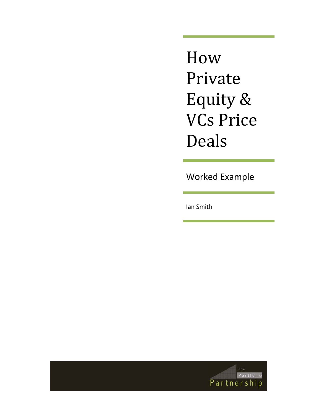How Private Equity & VCs Price Deals

Worked Example

Ian Smith

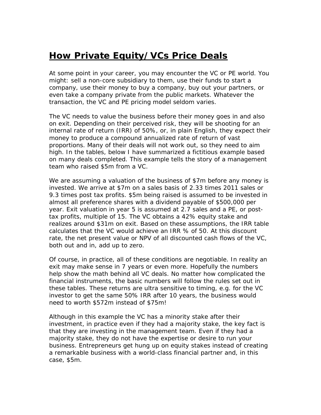## **How Private Equity/VCs Price Deals**

At some point in your career, you may encounter the VC or PE world. You might: sell a non-core subsidiary to them, use their funds to start a company, use their money to buy a company, buy out your partners, or even take a company private from the public markets. Whatever the transaction, the VC and PE pricing model seldom varies.

The VC needs to value the business before their money goes in and also on exit. Depending on their perceived risk, they will be shooting for an internal rate of return (IRR) of 50%, or, in plain English, they expect their money to produce a compound annualized rate of return of vast proportions. Many of their deals will not work out, so they need to aim high. In the tables, below I have summarized a fictitious example based on many deals completed. This example tells the story of a management team who raised \$5m from a VC.

We are assuming a valuation of the business of \$7m before any money is invested. We arrive at \$7m on a sales basis of 2.33 times 2011 sales or 9.3 times post tax profits. \$5m being raised is assumed to be invested in almost all preference shares with a dividend payable of \$500,000 per year. Exit valuation in year 5 is assumed at 2.7 sales and a PE, or posttax profits, multiple of 15. The VC obtains a 42% equity stake and realizes around \$31m on exit. Based on these assumptions, the IRR table calculates that the VC would achieve an IRR % of 50. At this discount rate, the net present value or NPV of all discounted cash flows of the VC, both out and in, add up to zero.

Of course, in practice, all of these conditions are negotiable. In reality an exit may make sense in 7 years or even more. Hopefully the numbers help show the math behind all VC deals. No matter how complicated the financial instruments, the basic numbers will follow the rules set out in these tables. These returns are ultra sensitive to timing, e.g. for the VC investor to get the same 50% IRR after 10 years, the business would need to worth \$572m instead of \$75m!

Although in this example the VC has a minority stake after their investment, in practice even if they had a majority stake, the key fact is that they are investing in the management team. Even if they had a majority stake, they do not have the expertise or desire to run your business. Entrepreneurs get hung up on equity stakes instead of creating a remarkable business with a world-class financial partner and, in this case, \$5m.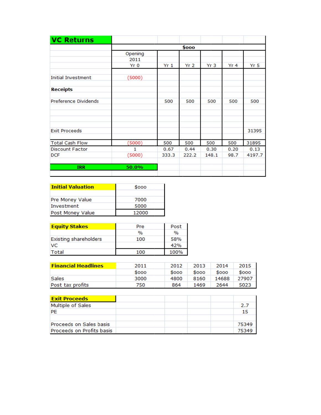| <b>VC Returns</b>         |                         |                 |                 |                 |                 |        |
|---------------------------|-------------------------|-----------------|-----------------|-----------------|-----------------|--------|
|                           | \$000                   |                 |                 |                 |                 |        |
|                           | Opening<br>2011<br>Yr 0 | Yr <sub>1</sub> | Yr <sub>2</sub> | Yr <sub>3</sub> | Yr <sub>4</sub> | Yr 5   |
| <b>Initial Investment</b> | (5000)                  |                 |                 |                 |                 |        |
| <b>Receipts</b>           |                         |                 |                 |                 |                 |        |
| Preference Dividends      |                         | 500             | 500             | 500             | 500             | 500    |
| <b>Exit Proceeds</b>      |                         |                 |                 |                 |                 | 31395  |
| <b>Total Cash Flow</b>    | (5000)                  | 500             | 500             | 500             | 500             | 31895  |
| <b>Discount Factor</b>    | 1                       | 0.67            | 0.44            | 0.30            | 0.20            | 0.13   |
| <b>DCF</b>                | (5000)                  | 333.3           | 222.2           | 148.1           | 98.7            | 4197.7 |
| <b>IRR</b>                | 50.0%                   |                 |                 |                 |                 |        |

| <b>Initial Valuation</b> | \$000 |  |  |  |
|--------------------------|-------|--|--|--|
|                          |       |  |  |  |
| Pre Money Value          | 7000  |  |  |  |
| Investment               | 5000  |  |  |  |
| Post Money Value         | 12000 |  |  |  |

| <b>Equity Stakes</b>         | Pre           | Post |  |
|------------------------------|---------------|------|--|
|                              | $\frac{1}{2}$ | $\%$ |  |
| <b>Existing shareholders</b> | 100           | 58%  |  |
| <b>VC</b>                    |               | 42%  |  |
| Total                        | 100           | 100% |  |

| <b>Financial Headlines</b> | 2011  | 2012  | 2013 | 2014  | 2015  |
|----------------------------|-------|-------|------|-------|-------|
|                            | \$000 | \$000 | Sooo | \$000 | \$000 |
| Sales                      | 3000  | 4800  | 8160 | 14688 | 27907 |
| Post tax profits           | 750   | 864   | 1469 | 2644  | 5023  |

| <b>Exit Proceeds</b>      |  |       |
|---------------------------|--|-------|
| Multiple of Sales         |  | 2.7   |
| PE                        |  | 15    |
|                           |  |       |
| Proceeds on Sales basis   |  | 75349 |
| Proceeds on Profits basis |  | 75349 |